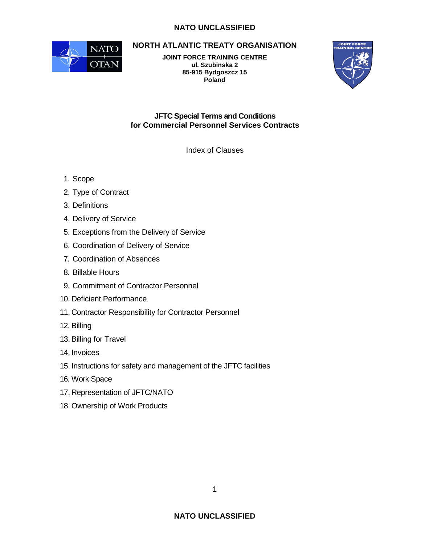# **NATO UNCLASSIFIED**



**NORTH ATLANTIC TREATY ORGANISATION** 

**JOINT FORCE TRAINING CENTRE ul. Szubinska 2 85-915 Bydgoszcz 15 Poland** 



**JFTC Special Terms and Conditions for Commercial Personnel Services Contracts** 

Index of Clauses

- 1. Scope
- 2. Type of Contract
- 3. Definitions
- 4. Delivery of Service
- 5. Exceptions from the Delivery of Service
- 6. Coordination of Delivery of Service
- 7. Coordination of Absences
- 8. Billable Hours
- 9. Commitment of Contractor Personnel
- 10. Deficient Performance
- 11. Contractor Responsibility for Contractor Personnel
- 12. Billing
- 13. Billing for Travel
- 14. Invoices
- 15. Instructions for safety and management of the JFTC facilities
- 16. Work Space
- 17. Representation of JFTC/NATO
- 18. Ownership of Work Products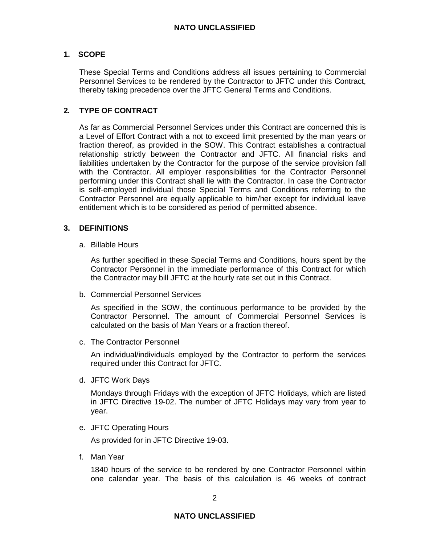## **1. SCOPE**

These Special Terms and Conditions address all issues pertaining to Commercial Personnel Services to be rendered by the Contractor to JFTC under this Contract, thereby taking precedence over the JFTC General Terms and Conditions.

## **2. TYPE OF CONTRACT**

As far as Commercial Personnel Services under this Contract are concerned this is a Level of Effort Contract with a not to exceed limit presented by the man years or fraction thereof, as provided in the SOW. This Contract establishes a contractual relationship strictly between the Contractor and JFTC. All financial risks and liabilities undertaken by the Contractor for the purpose of the service provision fall with the Contractor. All employer responsibilities for the Contractor Personnel performing under this Contract shall lie with the Contractor. In case the Contractor is self-employed individual those Special Terms and Conditions referring to the Contractor Personnel are equally applicable to him/her except for individual leave entitlement which is to be considered as period of permitted absence.

### **3. DEFINITIONS**

a. Billable Hours

 As further specified in these Special Terms and Conditions, hours spent by the Contractor Personnel in the immediate performance of this Contract for which the Contractor may bill JFTC at the hourly rate set out in this Contract.

b. Commercial Personnel Services

 As specified in the SOW, the continuous performance to be provided by the Contractor Personnel. The amount of Commercial Personnel Services is calculated on the basis of Man Years or a fraction thereof.

c. The Contractor Personnel

 An individual/individuals employed by the Contractor to perform the services required under this Contract for JFTC.

d. JFTC Work Days

 Mondays through Fridays with the exception of JFTC Holidays, which are listed in JFTC Directive 19-02. The number of JFTC Holidays may vary from year to year.

e. JFTC Operating Hours

As provided for in JFTC Directive 19-03.

f. Man Year

 1840 hours of the service to be rendered by one Contractor Personnel within one calendar year. The basis of this calculation is 46 weeks of contract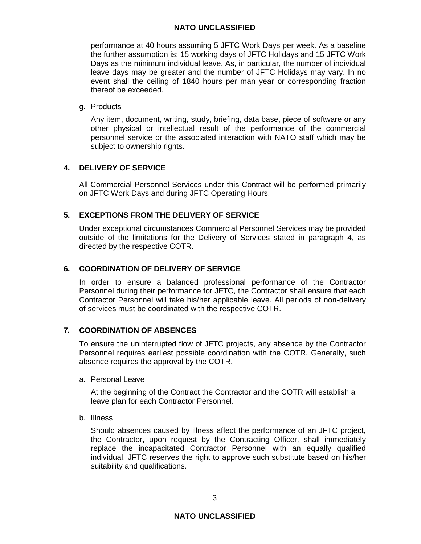### **NATO UNCLASSIFIED**

performance at 40 hours assuming 5 JFTC Work Days per week. As a baseline the further assumption is: 15 working days of JFTC Holidays and 15 JFTC Work Days as the minimum individual leave. As, in particular, the number of individual leave days may be greater and the number of JFTC Holidays may vary. In no event shall the ceiling of 1840 hours per man year or corresponding fraction thereof be exceeded.

#### g. Products

 Any item, document, writing, study, briefing, data base, piece of software or any other physical or intellectual result of the performance of the commercial personnel service or the associated interaction with NATO staff which may be subject to ownership rights.

# **4. DELIVERY OF SERVICE**

All Commercial Personnel Services under this Contract will be performed primarily on JFTC Work Days and during JFTC Operating Hours.

# **5. EXCEPTIONS FROM THE DELIVERY OF SERVICE**

Under exceptional circumstances Commercial Personnel Services may be provided outside of the limitations for the Delivery of Services stated in paragraph 4, as directed by the respective COTR.

## **6. COORDINATION OF DELIVERY OF SERVICE**

In order to ensure a balanced professional performance of the Contractor Personnel during their performance for JFTC, the Contractor shall ensure that each Contractor Personnel will take his/her applicable leave. All periods of non-delivery of services must be coordinated with the respective COTR.

## **7. COORDINATION OF ABSENCES**

To ensure the uninterrupted flow of JFTC projects, any absence by the Contractor Personnel requires earliest possible coordination with the COTR. Generally, such absence requires the approval by the COTR.

a. Personal Leave

At the beginning of the Contract the Contractor and the COTR will establish a leave plan for each Contractor Personnel.

b. Illness

Should absences caused by illness affect the performance of an JFTC project, the Contractor, upon request by the Contracting Officer, shall immediately replace the incapacitated Contractor Personnel with an equally qualified individual. JFTC reserves the right to approve such substitute based on his/her suitability and qualifications.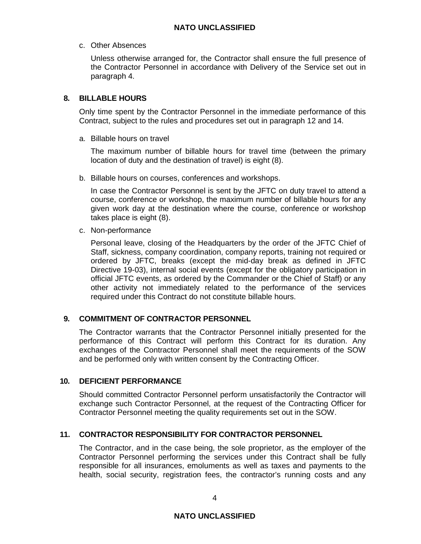### c. Other Absences

Unless otherwise arranged for, the Contractor shall ensure the full presence of the Contractor Personnel in accordance with Delivery of the Service set out in paragraph 4.

# **8. BILLABLE HOURS**

Only time spent by the Contractor Personnel in the immediate performance of this Contract, subject to the rules and procedures set out in paragraph 12 and 14.

a. Billable hours on travel

The maximum number of billable hours for travel time (between the primary location of duty and the destination of travel) is eight (8).

b. Billable hours on courses, conferences and workshops.

In case the Contractor Personnel is sent by the JFTC on duty travel to attend a course, conference or workshop, the maximum number of billable hours for any given work day at the destination where the course, conference or workshop takes place is eight (8).

c. Non-performance

Personal leave, closing of the Headquarters by the order of the JFTC Chief of Staff, sickness, company coordination, company reports, training not required or ordered by JFTC, breaks (except the mid-day break as defined in JFTC Directive 19-03), internal social events (except for the obligatory participation in official JFTC events, as ordered by the Commander or the Chief of Staff) or any other activity not immediately related to the performance of the services required under this Contract do not constitute billable hours.

## **9. COMMITMENT OF CONTRACTOR PERSONNEL**

The Contractor warrants that the Contractor Personnel initially presented for the performance of this Contract will perform this Contract for its duration. Any exchanges of the Contractor Personnel shall meet the requirements of the SOW and be performed only with written consent by the Contracting Officer.

## **10. DEFICIENT PERFORMANCE**

Should committed Contractor Personnel perform unsatisfactorily the Contractor will exchange such Contractor Personnel, at the request of the Contracting Officer for Contractor Personnel meeting the quality requirements set out in the SOW.

## **11. CONTRACTOR RESPONSIBILITY FOR CONTRACTOR PERSONNEL**

The Contractor, and in the case being, the sole proprietor, as the employer of the Contractor Personnel performing the services under this Contract shall be fully responsible for all insurances, emoluments as well as taxes and payments to the health, social security, registration fees, the contractor's running costs and any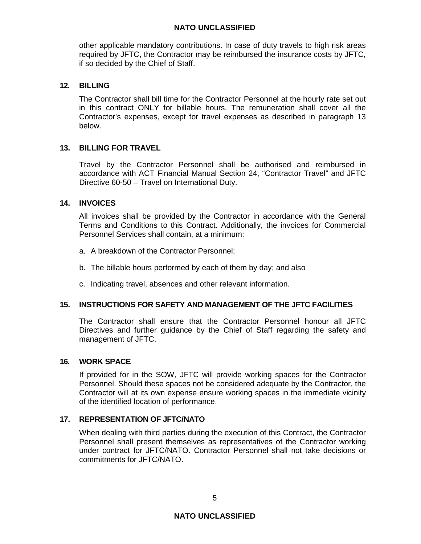### **NATO UNCLASSIFIED**

other applicable mandatory contributions. In case of duty travels to high risk areas required by JFTC, the Contractor may be reimbursed the insurance costs by JFTC, if so decided by the Chief of Staff.

### **12. BILLING**

The Contractor shall bill time for the Contractor Personnel at the hourly rate set out in this contract ONLY for billable hours. The remuneration shall cover all the Contractor's expenses, except for travel expenses as described in paragraph 13 below.

### **13. BILLING FOR TRAVEL**

Travel by the Contractor Personnel shall be authorised and reimbursed in accordance with ACT Financial Manual Section 24, "Contractor Travel" and JFTC Directive 60-50 – Travel on International Duty.

### **14. INVOICES**

All invoices shall be provided by the Contractor in accordance with the General Terms and Conditions to this Contract. Additionally, the invoices for Commercial Personnel Services shall contain, at a minimum:

- a. A breakdown of the Contractor Personnel;
- b. The billable hours performed by each of them by day; and also
- c. Indicating travel, absences and other relevant information.

## **15. INSTRUCTIONS FOR SAFETY AND MANAGEMENT OF THE JFTC FACILITIES**

The Contractor shall ensure that the Contractor Personnel honour all JFTC Directives and further guidance by the Chief of Staff regarding the safety and management of JFTC.

#### **16. WORK SPACE**

If provided for in the SOW, JFTC will provide working spaces for the Contractor Personnel. Should these spaces not be considered adequate by the Contractor, the Contractor will at its own expense ensure working spaces in the immediate vicinity of the identified location of performance.

#### **17. REPRESENTATION OF JFTC/NATO**

When dealing with third parties during the execution of this Contract, the Contractor Personnel shall present themselves as representatives of the Contractor working under contract for JFTC/NATO. Contractor Personnel shall not take decisions or commitments for JFTC/NATO.